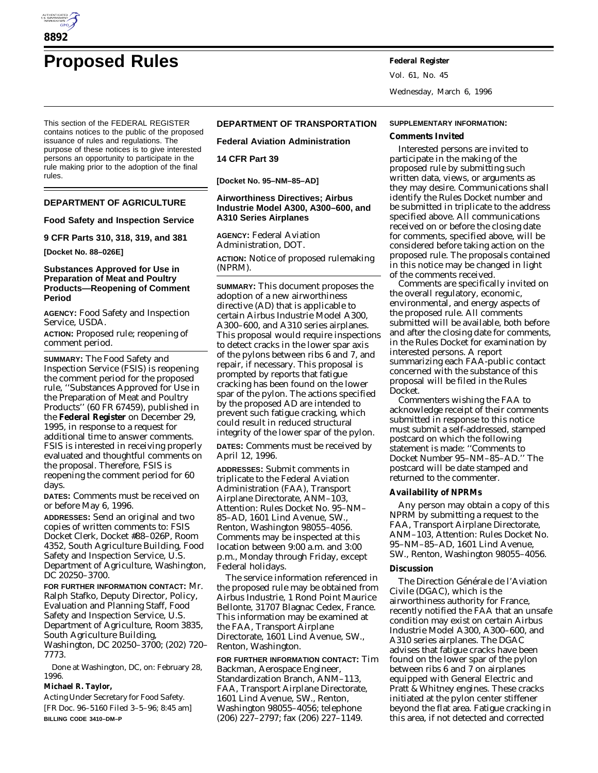

Vol. 61, No. 45 Wednesday, March 6, 1996

This section of the FEDERAL REGISTER contains notices to the public of the proposed issuance of rules and regulations. The purpose of these notices is to give interested persons an opportunity to participate in the rule making prior to the adoption of the final rules.

## **DEPARTMENT OF AGRICULTURE**

## **Food Safety and Inspection Service**

**9 CFR Parts 310, 318, 319, and 381**

**[Docket No. 88–026E]**

### **Substances Approved for Use in Preparation of Meat and Poultry Products—Reopening of Comment Period**

**AGENCY:** Food Safety and Inspection Service, USDA.

**ACTION:** Proposed rule; reopening of comment period.

**SUMMARY:** The Food Safety and Inspection Service (FSIS) is reopening the comment period for the proposed rule, ''Substances Approved for Use in the Preparation of Meat and Poultry Products'' (60 FR 67459), published in the **Federal Register** on December 29, 1995, in response to a request for additional time to answer comments. FSIS is interested in receiving properly evaluated and thoughtful comments on the proposal. Therefore, FSIS is reopening the comment period for 60 days.

**DATES:** Comments must be received on or before May 6, 1996.

**ADDRESSES:** Send an original and two copies of written comments to: FSIS Docket Clerk, Docket #88–026P, Room 4352, South Agriculture Building, Food Safety and Inspection Service, U.S. Department of Agriculture, Washington, DC 20250–3700.

**FOR FURTHER INFORMATION CONTACT:** Mr. Ralph Stafko, Deputy Director, Policy, Evaluation and Planning Staff, Food Safety and Inspection Service, U.S. Department of Agriculture, Room 3835, South Agriculture Building, Washington, DC 20250–3700; (202) 720– 7773.

Done at Washington, DC, on: February 28, 1996.

**Michael R. Taylor,**

*Acting Under Secretary for Food Safety.* [FR Doc. 96–5160 Filed 3–5–96; 8:45 am] **BILLING CODE 3410–DM–P**

# **DEPARTMENT OF TRANSPORTATION**

**Federal Aviation Administration**

**14 CFR Part 39**

**[Docket No. 95–NM–85–AD]**

## **Airworthiness Directives; Airbus Industrie Model A300, A300–600, and A310 Series Airplanes**

**AGENCY:** Federal Aviation Administration, DOT.

**ACTION:** Notice of proposed rulemaking (NPRM).

**SUMMARY:** This document proposes the adoption of a new airworthiness directive (AD) that is applicable to certain Airbus Industrie Model A300, A300–600, and A310 series airplanes. This proposal would require inspections to detect cracks in the lower spar axis of the pylons between ribs 6 and 7, and repair, if necessary. This proposal is prompted by reports that fatigue cracking has been found on the lower spar of the pylon. The actions specified by the proposed AD are intended to prevent such fatigue cracking, which could result in reduced structural integrity of the lower spar of the pylon.

**DATES:** Comments must be received by April 12, 1996.

**ADDRESSES:** Submit comments in triplicate to the Federal Aviation Administration (FAA), Transport Airplane Directorate, ANM–103, Attention: Rules Docket No. 95–NM– 85–AD, 1601 Lind Avenue, SW., Renton, Washington 98055–4056. Comments may be inspected at this location between 9:00 a.m. and 3:00 p.m., Monday through Friday, except Federal holidays.

The service information referenced in the proposed rule may be obtained from Airbus Industrie, 1 Rond Point Maurice Bellonte, 31707 Blagnac Cedex, France. This information may be examined at the FAA, Transport Airplane Directorate, 1601 Lind Avenue, SW., Renton, Washington.

**FOR FURTHER INFORMATION CONTACT:** Tim Backman, Aerospace Engineer, Standardization Branch, ANM–113, FAA, Transport Airplane Directorate, 1601 Lind Avenue, SW., Renton, Washington 98055–4056; telephone (206) 227–2797; fax (206) 227–1149.

#### **SUPPLEMENTARY INFORMATION:**

#### **Comments Invited**

Interested persons are invited to participate in the making of the proposed rule by submitting such written data, views, or arguments as they may desire. Communications shall identify the Rules Docket number and be submitted in triplicate to the address specified above. All communications received on or before the closing date for comments, specified above, will be considered before taking action on the proposed rule. The proposals contained in this notice may be changed in light of the comments received.

Comments are specifically invited on the overall regulatory, economic, environmental, and energy aspects of the proposed rule. All comments submitted will be available, both before and after the closing date for comments, in the Rules Docket for examination by interested persons. A report summarizing each FAA-public contact concerned with the substance of this proposal will be filed in the Rules Docket.

Commenters wishing the FAA to acknowledge receipt of their comments submitted in response to this notice must submit a self-addressed, stamped postcard on which the following statement is made: ''Comments to Docket Number 95–NM–85–AD.'' The postcard will be date stamped and returned to the commenter.

## **Availability of NPRMs**

Any person may obtain a copy of this NPRM by submitting a request to the FAA, Transport Airplane Directorate, ANM–103, Attention: Rules Docket No. 95–NM–85–AD, 1601 Lind Avenue, SW., Renton, Washington 98055–4056.

### **Discussion**

The Direction Générale de l'Aviation Civile (DGAC), which is the airworthiness authority for France, recently notified the FAA that an unsafe condition may exist on certain Airbus Industrie Model A300, A300–600, and A310 series airplanes. The DGAC advises that fatigue cracks have been found on the lower spar of the pylon between ribs 6 and 7 on airplanes equipped with General Electric and Pratt & Whitney engines. These cracks initiated at the pylon center stiffener beyond the flat area. Fatigue cracking in this area, if not detected and corrected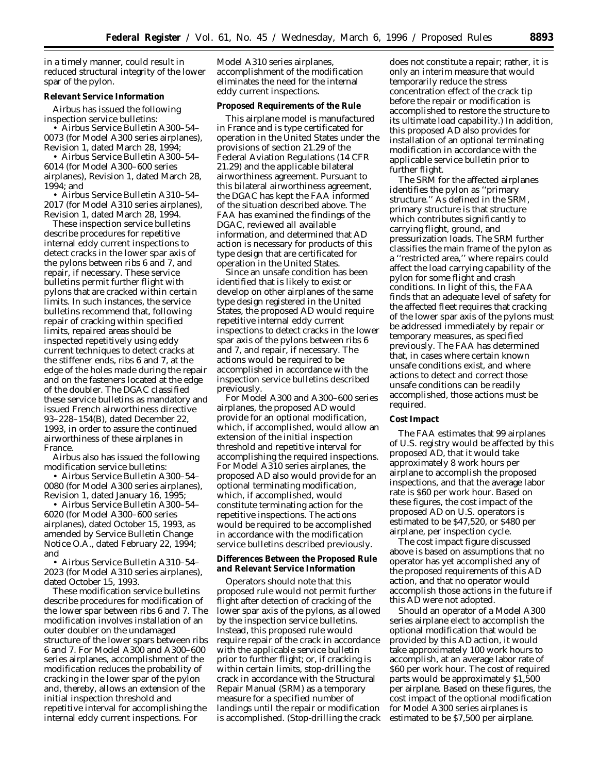in a timely manner, could result in reduced structural integrity of the lower spar of the pylon.

### **Relevant Service Information**

Airbus has issued the following inspection service bulletins:

• Airbus Service Bulletin A300–54– 0073 (for Model A300 series airplanes), Revision 1, dated March 28, 1994;

• Airbus Service Bulletin A300–54– 6014 (for Model A300–600 series airplanes), Revision 1, dated March 28, 1994; and

• Airbus Service Bulletin A310–54– 2017 (for Model A310 series airplanes), Revision 1, dated March 28, 1994.

These inspection service bulletins describe procedures for repetitive internal eddy current inspections to detect cracks in the lower spar axis of the pylons between ribs 6 and 7, and repair, if necessary. These service bulletins permit further flight with pylons that are cracked within certain limits. In such instances, the service bulletins recommend that, following repair of cracking within specified limits, repaired areas should be inspected repetitively using eddy current techniques to detect cracks at the stiffener ends, ribs 6 and 7, at the edge of the holes made during the repair and on the fasteners located at the edge of the doubler. The DGAC classified these service bulletins as mandatory and issued French airworthiness directive 93–228–154(B), dated December 22, 1993, in order to assure the continued airworthiness of these airplanes in France.

Airbus also has issued the following modification service bulletins:

• Airbus Service Bulletin A300–54– 0080 (for Model A300 series airplanes), Revision 1, dated January 16, 1995;

• Airbus Service Bulletin A300–54– 6020 (for Model A300–600 series airplanes), dated October 15, 1993, as amended by Service Bulletin Change Notice O.A., dated February 22, 1994; and

• Airbus Service Bulletin A310–54– 2023 (for Model A310 series airplanes), dated October 15, 1993.

These modification service bulletins describe procedures for modification of the lower spar between ribs 6 and 7. The modification involves installation of an outer doubler on the undamaged structure of the lower spars between ribs 6 and 7. For Model A300 and A300–600 series airplanes, accomplishment of the modification reduces the probability of cracking in the lower spar of the pylon and, thereby, allows an extension of the initial inspection threshold and repetitive interval for accomplishing the internal eddy current inspections. For

Model A310 series airplanes, accomplishment of the modification eliminates the need for the internal eddy current inspections.

### **Proposed Requirements of the Rule**

This airplane model is manufactured in France and is type certificated for operation in the United States under the provisions of section 21.29 of the Federal Aviation Regulations (14 CFR 21.29) and the applicable bilateral airworthiness agreement. Pursuant to this bilateral airworthiness agreement, the DGAC has kept the FAA informed of the situation described above. The FAA has examined the findings of the DGAC, reviewed all available information, and determined that AD action is necessary for products of this type design that are certificated for operation in the United States.

Since an unsafe condition has been identified that is likely to exist or develop on other airplanes of the same type design registered in the United States, the proposed AD would require repetitive internal eddy current inspections to detect cracks in the lower spar axis of the pylons between ribs 6 and 7, and repair, if necessary. The actions would be required to be accomplished in accordance with the inspection service bulletins described previously.

For Model A300 and A300–600 series airplanes, the proposed AD would provide for an optional modification, which, if accomplished, would allow an extension of the initial inspection threshold and repetitive interval for accomplishing the required inspections. For Model A310 series airplanes, the proposed AD also would provide for an optional terminating modification, which, if accomplished, would constitute terminating action for the repetitive inspections. The actions would be required to be accomplished in accordance with the modification service bulletins described previously.

**Differences Between the Proposed Rule and Relevant Service Information**

Operators should note that this proposed rule would not permit further flight after detection of cracking of the lower spar axis of the pylons, as allowed by the inspection service bulletins. Instead, this proposed rule would require repair of the crack in accordance with the applicable service bulletin prior to further flight; or, if cracking is within certain limits, stop-drilling the crack in accordance with the Structural Repair Manual (SRM) as a temporary measure for a specified number of landings until the repair or modification is accomplished. (Stop-drilling the crack does not constitute a repair; rather, it is only an interim measure that would temporarily reduce the stress concentration effect of the crack tip before the repair or modification is accomplished to restore the structure to its ultimate load capability.) In addition, this proposed AD also provides for installation of an optional terminating modification in accordance with the applicable service bulletin prior to further flight.

The SRM for the affected airplanes identifies the pylon as ''primary structure.'' As defined in the SRM, primary structure is that structure which contributes significantly to carrying flight, ground, and pressurization loads. The SRM further classifies the main frame of the pylon as a ''restricted area,'' where repairs could affect the load carrying capability of the pylon for some flight and crash conditions. In light of this, the FAA finds that an adequate level of safety for the affected fleet requires that cracking of the lower spar axis of the pylons must be addressed immediately by repair or temporary measures, as specified previously. The FAA has determined that, in cases where certain known unsafe conditions exist, and where actions to detect and correct those unsafe conditions can be readily accomplished, those actions must be required.

### **Cost Impact**

The FAA estimates that 99 airplanes of U.S. registry would be affected by this proposed AD, that it would take approximately 8 work hours per airplane to accomplish the proposed inspections, and that the average labor rate is \$60 per work hour. Based on these figures, the cost impact of the proposed AD on U.S. operators is estimated to be \$47,520, or \$480 per airplane, per inspection cycle.

The cost impact figure discussed above is based on assumptions that no operator has yet accomplished any of the proposed requirements of this AD action, and that no operator would accomplish those actions in the future if this AD were not adopted.

Should an operator of a Model A300 series airplane elect to accomplish the optional modification that would be provided by this AD action, it would take approximately 100 work hours to accomplish, at an average labor rate of \$60 per work hour. The cost of required parts would be approximately \$1,500 per airplane. Based on these figures, the cost impact of the optional modification for Model A300 series airplanes is estimated to be \$7,500 per airplane.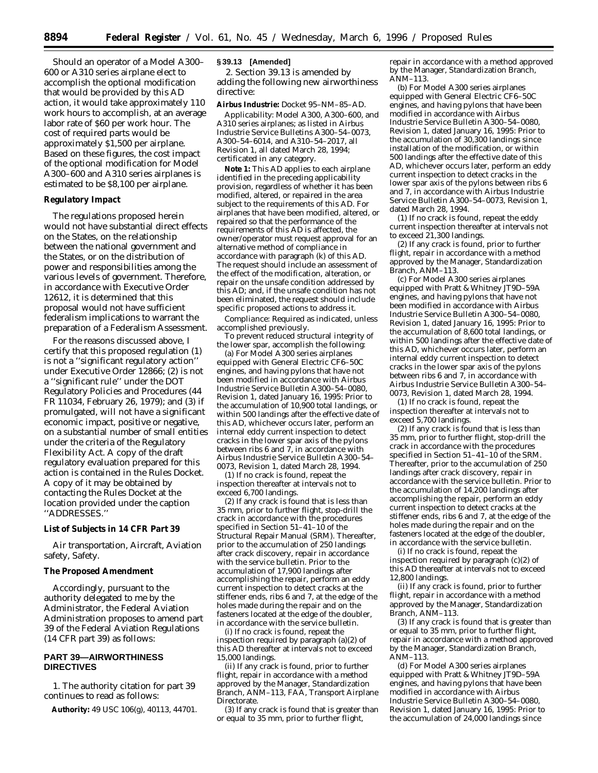Should an operator of a Model A300– 600 or A310 series airplane elect to accomplish the optional modification that would be provided by this AD action, it would take approximately 110 work hours to accomplish, at an average labor rate of \$60 per work hour. The cost of required parts would be approximately \$1,500 per airplane. Based on these figures, the cost impact of the optional modification for Model A300–600 and A310 series airplanes is estimated to be \$8,100 per airplane.

### **Regulatory Impact**

The regulations proposed herein would not have substantial direct effects on the States, on the relationship between the national government and the States, or on the distribution of power and responsibilities among the various levels of government. Therefore, in accordance with Executive Order 12612, it is determined that this proposal would not have sufficient federalism implications to warrant the preparation of a Federalism Assessment.

For the reasons discussed above, I certify that this proposed regulation (1) is not a ''significant regulatory action'' under Executive Order 12866; (2) is not a ''significant rule'' under the DOT Regulatory Policies and Procedures (44 FR 11034, February 26, 1979); and (3) if promulgated, will not have a significant economic impact, positive or negative, on a substantial number of small entities under the criteria of the Regulatory Flexibility Act. A copy of the draft regulatory evaluation prepared for this action is contained in the Rules Docket. A copy of it may be obtained by contacting the Rules Docket at the location provided under the caption ''ADDRESSES.''

### **List of Subjects in 14 CFR Part 39**

Air transportation, Aircraft, Aviation safety, Safety.

# **The Proposed Amendment**

Accordingly, pursuant to the authority delegated to me by the Administrator, the Federal Aviation Administration proposes to amend part 39 of the Federal Aviation Regulations (14 CFR part 39) as follows:

## **PART 39—AIRWORTHINESS DIRECTIVES**

1. The authority citation for part 39 continues to read as follows:

**Authority:** 49 USC 106(g), 40113, 44701.

### **§ 39.13 [Amended]**

2. Section 39.13 is amended by adding the following new airworthiness directive:

**Airbus Industrie:** Docket 95–NM–85–AD.

*Applicability:* Model A300, A300–600, and A310 series airplanes; as listed in Airbus Industrie Service Bulletins A300–54–0073, A300–54–6014, and A310–54–2017, all Revision 1, all dated March 28, 1994; certificated in any category.

**Note 1:** This AD applies to each airplane identified in the preceding applicability provision, regardless of whether it has been modified, altered, or repaired in the area subject to the requirements of this AD. For airplanes that have been modified, altered, or repaired so that the performance of the requirements of this AD is affected, the owner/operator must request approval for an alternative method of compliance in accordance with paragraph (k) of this AD. The request should include an assessment of the effect of the modification, alteration, or repair on the unsafe condition addressed by this AD; and, if the unsafe condition has not been eliminated, the request should include specific proposed actions to address it.

*Compliance:* Required as indicated, unless accomplished previously.

To prevent reduced structural integrity of the lower spar, accomplish the following:

(a) For Model A300 series airplanes equipped with General Electric CF6–50C engines, and having pylons that have not been modified in accordance with Airbus Industrie Service Bulletin A300–54–0080, Revision 1, dated January 16, 1995: Prior to the accumulation of 10,900 total landings, or within 500 landings after the effective date of this AD, whichever occurs later, perform an internal eddy current inspection to detect cracks in the lower spar axis of the pylons between ribs 6 and 7, in accordance with Airbus Industrie Service Bulletin A300–54– 0073, Revision 1, dated March 28, 1994.

(1) If no crack is found, repeat the inspection thereafter at intervals not to exceed 6,700 landings.

(2) If any crack is found that is less than 35 mm, prior to further flight, stop-drill the crack in accordance with the procedures specified in Section 51–41–10 of the Structural Repair Manual (SRM). Thereafter, prior to the accumulation of 250 landings after crack discovery, repair in accordance with the service bulletin. Prior to the accumulation of 17,900 landings after accomplishing the repair, perform an eddy current inspection to detect cracks at the stiffener ends, ribs 6 and 7, at the edge of the holes made during the repair and on the fasteners located at the edge of the doubler, in accordance with the service bulletin.

(i) If no crack is found, repeat the inspection required by paragraph (a)(2) of this AD thereafter at intervals not to exceed 15,000 landings.

(ii) If any crack is found, prior to further flight, repair in accordance with a method approved by the Manager, Standardization Branch, ANM–113, FAA, Transport Airplane Directorate.

(3) If any crack is found that is greater than or equal to 35 mm, prior to further flight,

repair in accordance with a method approved by the Manager, Standardization Branch, ANM–113.

(b) For Model A300 series airplanes equipped with General Electric CF6–50C engines, and having pylons that have been modified in accordance with Airbus Industrie Service Bulletin A300–54–0080, Revision 1, dated January 16, 1995: Prior to the accumulation of 30,300 landings since installation of the modification, or within 500 landings after the effective date of this AD, whichever occurs later, perform an eddy current inspection to detect cracks in the lower spar axis of the pylons between ribs 6 and 7, in accordance with Airbus Industrie Service Bulletin A300–54–0073, Revision 1, dated March 28, 1994.

(1) If no crack is found, repeat the eddy current inspection thereafter at intervals not to exceed  $21,300$  landings.

(2) If any crack is found, prior to further flight, repair in accordance with a method approved by the Manager, Standardization Branch, ANM–113.

(c) For Model A300 series airplanes equipped with Pratt & Whitney JT9D–59A engines, and having pylons that have not been modified in accordance with Airbus Industrie Service Bulletin A300–54–0080, Revision 1, dated January 16, 1995: Prior to the accumulation of 8,600 total landings, or within 500 landings after the effective date of this AD, whichever occurs later, perform an internal eddy current inspection to detect cracks in the lower spar axis of the pylons between ribs 6 and 7, in accordance with Airbus Industrie Service Bulletin A300–54– 0073, Revision 1, dated March 28, 1994.

(1) If no crack is found, repeat the inspection thereafter at intervals not to exceed 5,700 landings.

(2) If any crack is found that is less than 35 mm, prior to further flight, stop-drill the crack in accordance with the procedures specified in Section 51–41–10 of the SRM. Thereafter, prior to the accumulation of 250 landings after crack discovery, repair in accordance with the service bulletin. Prior to the accumulation of 14,200 landings after accomplishing the repair, perform an eddy current inspection to detect cracks at the stiffener ends, ribs 6 and 7, at the edge of the holes made during the repair and on the fasteners located at the edge of the doubler, in accordance with the service bulletin.

(i) If no crack is found, repeat the inspection required by paragraph (c)(2) of this AD thereafter at intervals not to exceed 12,800 landings.

(ii) If any crack is found, prior to further flight, repair in accordance with a method approved by the Manager, Standardization Branch, ANM–113.

(3) If any crack is found that is greater than or equal to 35 mm, prior to further flight, repair in accordance with a method approved by the Manager, Standardization Branch, ANM–113.

(d) For Model A300 series airplanes equipped with Pratt & Whitney JT9D–59A engines, and having pylons that have been modified in accordance with Airbus Industrie Service Bulletin A300–54–0080, Revision 1, dated January 16, 1995: Prior to the accumulation of  $24,000$  landings since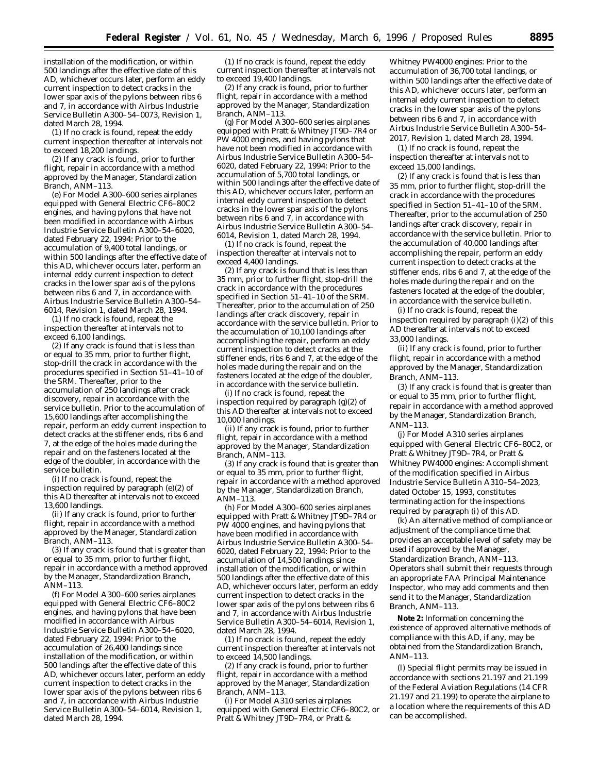installation of the modification, or within 500 landings after the effective date of this AD, whichever occurs later, perform an eddy current inspection to detect cracks in the lower spar axis of the pylons between ribs 6 and 7, in accordance with Airbus Industrie Service Bulletin A300–54–0073, Revision 1, dated March 28, 1994.

(1) If no crack is found, repeat the eddy current inspection thereafter at intervals not to exceed 18,200 landings.

(2) If any crack is found, prior to further flight, repair in accordance with a method approved by the Manager, Standardization Branch, ANM–113.

(e) For Model A300–600 series airplanes equipped with General Electric CF6–80C2 engines, and having pylons that have not been modified in accordance with Airbus Industrie Service Bulletin A300–54–6020, dated February 22, 1994: Prior to the accumulation of 9,400 total landings, or within 500 landings after the effective date of this AD, whichever occurs later, perform an internal eddy current inspection to detect cracks in the lower spar axis of the pylons between ribs 6 and 7, in accordance with Airbus Industrie Service Bulletin A300–54– 6014, Revision 1, dated March 28, 1994.

(1) If no crack is found, repeat the inspection thereafter at intervals not to exceed 6,100 landings.

(2) If any crack is found that is less than or equal to 35 mm, prior to further flight, stop-drill the crack in accordance with the procedures specified in Section 51–41–10 of the SRM. Thereafter, prior to the accumulation of 250 landings after crack discovery, repair in accordance with the service bulletin. Prior to the accumulation of 15,600 landings after accomplishing the repair, perform an eddy current inspection to detect cracks at the stiffener ends, ribs 6 and 7, at the edge of the holes made during the repair and on the fasteners located at the edge of the doubler, in accordance with the service bulletin.

(i) If no crack is found, repeat the inspection required by paragraph (e)(2) of this AD thereafter at intervals not to exceed 13,600 landings.

(ii) If any crack is found, prior to further flight, repair in accordance with a method approved by the Manager, Standardization Branch, ANM–113.

(3) If any crack is found that is greater than or equal to 35 mm, prior to further flight, repair in accordance with a method approved by the Manager, Standardization Branch, ANM–113.

(f) For Model A300–600 series airplanes equipped with General Electric CF6–80C2 engines, and having pylons that have been modified in accordance with Airbus Industrie Service Bulletin A300–54–6020, dated February 22, 1994: Prior to the accumulation of 26,400 landings since installation of the modification, or within 500 landings after the effective date of this AD, whichever occurs later, perform an eddy current inspection to detect cracks in the lower spar axis of the pylons between ribs 6 and 7, in accordance with Airbus Industrie Service Bulletin A300–54–6014, Revision 1, dated March 28, 1994.

(1) If no crack is found, repeat the eddy current inspection thereafter at intervals not to exceed 19,400 landings.

(2) If any crack is found, prior to further flight, repair in accordance with a method approved by the Manager, Standardization Branch, ANM-113.

(g) For Model A300–600 series airplanes equipped with Pratt & Whitney JT9D–7R4 or PW 4000 engines, and having pylons that have not been modified in accordance with Airbus Industrie Service Bulletin A300–54– 6020, dated February 22, 1994: Prior to the accumulation of 5,700 total landings, or within 500 landings after the effective date of this AD, whichever occurs later, perform an internal eddy current inspection to detect cracks in the lower spar axis of the pylons between ribs 6 and 7, in accordance with Airbus Industrie Service Bulletin A300–54– 6014, Revision 1, dated March 28, 1994.

(1) If no crack is found, repeat the inspection thereafter at intervals not to exceed 4,400 landings.

(2) If any crack is found that is less than 35 mm, prior to further flight, stop-drill the crack in accordance with the procedures specified in Section  $51-41-10$  of the SRM. Thereafter, prior to the accumulation of 250 landings after crack discovery, repair in accordance with the service bulletin. Prior to the accumulation of 10,100 landings after accomplishing the repair, perform an eddy current inspection to detect cracks at the stiffener ends, ribs 6 and 7, at the edge of the holes made during the repair and on the fasteners located at the edge of the doubler, in accordance with the service bulletin.

(i) If no crack is found, repeat the inspection required by paragraph  $(g)(2)$  of this AD thereafter at intervals not to exceed 10,000 landings.

(ii) If any crack is found, prior to further flight, repair in accordance with a method approved by the Manager, Standardization Branch, ANM–113.

(3) If any crack is found that is greater than or equal to 35 mm, prior to further flight, repair in accordance with a method approved by the Manager, Standardization Branch, ANM–113.

(h) For Model A300–600 series airplanes equipped with Pratt & Whitney JT9D–7R4 or  $P\hat{W}$  4000 engines, and having pylons that have been modified in accordance with Airbus Industrie Service Bulletin A300–54– 6020, dated February 22, 1994: Prior to the accumulation of 14,500 landings since installation of the modification, or within 500 landings after the effective date of this AD, whichever occurs later, perform an eddy current inspection to detect cracks in the lower spar axis of the pylons between ribs 6 and 7, in accordance with Airbus Industrie Service Bulletin A300–54–6014, Revision 1, dated March 28, 1994.

(1) If no crack is found, repeat the eddy current inspection thereafter at intervals not to exceed 14,500 landings.

(2) If any crack is found, prior to further flight, repair in accordance with a method approved by the Manager, Standardization Branch, ANM–113.

(i) For Model A310 series airplanes equipped with General Electric CF6–80C2, or Pratt & Whitney JT9D-7R4, or Pratt &

Whitney PW4000 engines: Prior to the accumulation of 36,700 total landings, or within 500 landings after the effective date of this AD, whichever occurs later, perform an internal eddy current inspection to detect cracks in the lower spar axis of the pylons between ribs 6 and 7, in accordance with Airbus Industrie Service Bulletin A300–54– 2017, Revision 1, dated March 28, 1994.

(1) If no crack is found, repeat the inspection thereafter at intervals not to exceed 15,000 landings.

(2) If any crack is found that is less than 35 mm, prior to further flight, stop-drill the crack in accordance with the procedures specified in Section 51–41–10 of the SRM. Thereafter, prior to the accumulation of 250 landings after crack discovery, repair in accordance with the service bulletin. Prior to the accumulation of 40,000 landings after accomplishing the repair, perform an eddy current inspection to detect cracks at the stiffener ends, ribs 6 and 7, at the edge of the holes made during the repair and on the fasteners located at the edge of the doubler, in accordance with the service bulletin.

(i) If no crack is found, repeat the inspection required by paragraph (i)(2) of this AD thereafter at intervals not to exceed 33,000 landings.

(ii) If any crack is found, prior to further flight, repair in accordance with a method approved by the Manager, Standardization Branch, ANM–113.

(3) If any crack is found that is greater than or equal to 35 mm, prior to further flight, repair in accordance with a method approved by the Manager, Standardization Branch, ANM–113.

(j) For Model A310 series airplanes equipped with General Electric CF6–80C2, or Pratt & Whitney JT9D–7R4, or Pratt & Whitney PW4000 engines: Accomplishment of the modification specified in Airbus Industrie Service Bulletin A310–54–2023, dated October 15, 1993, constitutes terminating action for the inspections required by paragraph (i) of this AD.

(k) An alternative method of compliance or adjustment of the compliance time that provides an acceptable level of safety may be used if approved by the Manager, Standardization Branch, ANM–113. Operators shall submit their requests through an appropriate FAA Principal Maintenance Inspector, who may add comments and then send it to the Manager, Standardization Branch, ANM–113.

**Note 2:** Information concerning the existence of approved alternative methods of compliance with this AD, if any, may be obtained from the Standardization Branch, ANM–113.

(l) Special flight permits may be issued in accordance with sections 21.197 and 21.199 of the Federal Aviation Regulations (14 CFR 21.197 and 21.199) to operate the airplane to a location where the requirements of this AD can be accomplished.